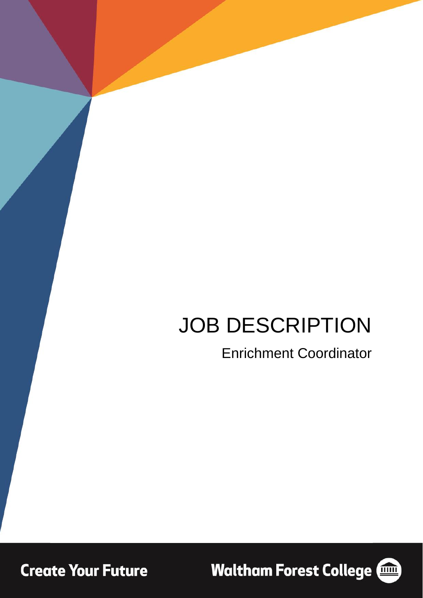# JOB DESCRIPTION

## Enrichment Coordinator

**Create Your Future** 

**Waltham Forest College (1986)** 

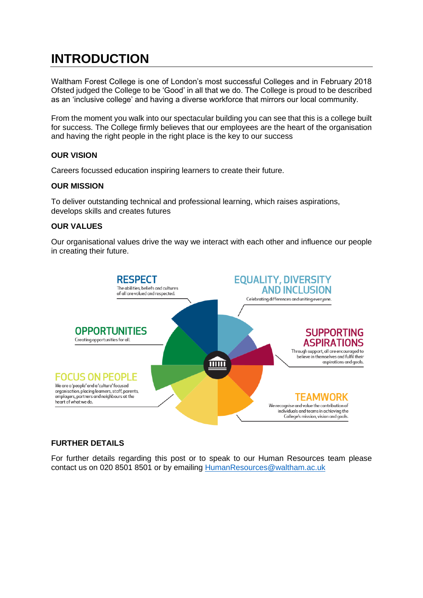### **INTRODUCTION**

Waltham Forest College is one of London's most successful Colleges and in February 2018 Ofsted judged the College to be 'Good' in all that we do. The College is proud to be described as an 'inclusive college' and having a diverse workforce that mirrors our local community.

From the moment you walk into our spectacular building you can see that this is a college built for success. The College firmly believes that our employees are the heart of the organisation and having the right people in the right place is the key to our success

### **OUR VISION**

Careers focussed education inspiring learners to create their future.

### **OUR MISSION**

To deliver outstanding technical and professional learning, which raises aspirations, develops skills and creates futures

### **OUR VALUES**

Our organisational values drive the way we interact with each other and influence our people in creating their future.



### **FURTHER DETAILS**

For further details regarding this post or to speak to our Human Resources team please contact us on 020 8501 8501 or by emailing [HumanResources@waltham.ac.uk](mailto:HumanResources@waltham.ac.uk)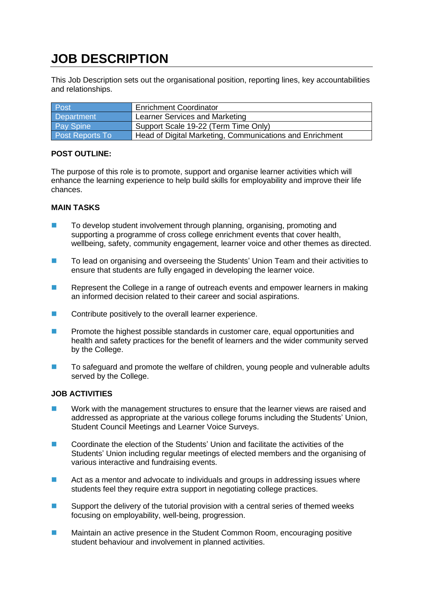### **JOB DESCRIPTION**

This Job Description sets out the organisational position, reporting lines, key accountabilities and relationships.

| Post                   | <b>Enrichment Coordinator</b>                            |
|------------------------|----------------------------------------------------------|
| Department             | Learner Services and Marketing                           |
| <b>Pay Spine</b>       | Support Scale 19-22 (Term Time Only)                     |
| <b>Post Reports To</b> | Head of Digital Marketing, Communications and Enrichment |

### **POST OUTLINE:**

The purpose of this role is to promote, support and organise learner activities which will enhance the learning experience to help build skills for employability and improve their life chances.

### **MAIN TASKS**

- To develop student involvement through planning, organising, promoting and supporting a programme of cross college enrichment events that cover health, wellbeing, safety, community engagement, learner voice and other themes as directed.
- To lead on organising and overseeing the Students' Union Team and their activities to ensure that students are fully engaged in developing the learner voice.
- Represent the College in a range of outreach events and empower learners in making an informed decision related to their career and social aspirations.
- Contribute positively to the overall learner experience.
- ◼ Promote the highest possible standards in customer care, equal opportunities and health and safety practices for the benefit of learners and the wider community served by the College.
- To safeguard and promote the welfare of children, young people and vulnerable adults served by the College.

### **JOB ACTIVITIES**

- Work with the management structures to ensure that the learner views are raised and addressed as appropriate at the various college forums including the Students' Union, Student Council Meetings and Learner Voice Surveys.
- Coordinate the election of the Students' Union and facilitate the activities of the Students' Union including regular meetings of elected members and the organising of various interactive and fundraising events.
- Act as a mentor and advocate to individuals and groups in addressing issues where students feel they require extra support in negotiating college practices.
- Support the delivery of the tutorial provision with a central series of themed weeks focusing on employability, well-being, progression.
- Maintain an active presence in the Student Common Room, encouraging positive student behaviour and involvement in planned activities.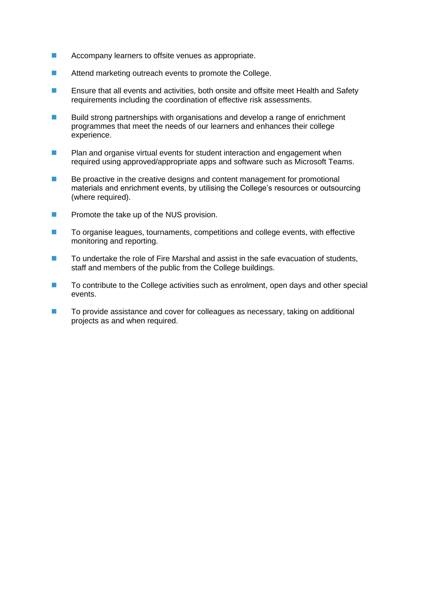- Accompany learners to offsite venues as appropriate.
- Attend marketing outreach events to promote the College.
- Ensure that all events and activities, both onsite and offsite meet Health and Safety requirements including the coordination of effective risk assessments.
- Build strong partnerships with organisations and develop a range of enrichment programmes that meet the needs of our learners and enhances their college experience.
- Plan and organise virtual events for student interaction and engagement when required using approved/appropriate apps and software such as Microsoft Teams.
- Be proactive in the creative designs and content management for promotional materials and enrichment events, by utilising the College's resources or outsourcing (where required).
- Promote the take up of the NUS provision.
- To organise leagues, tournaments, competitions and college events, with effective monitoring and reporting.
- To undertake the role of Fire Marshal and assist in the safe evacuation of students, staff and members of the public from the College buildings.
- To contribute to the College activities such as enrolment, open days and other special events.
- To provide assistance and cover for colleagues as necessary, taking on additional projects as and when required.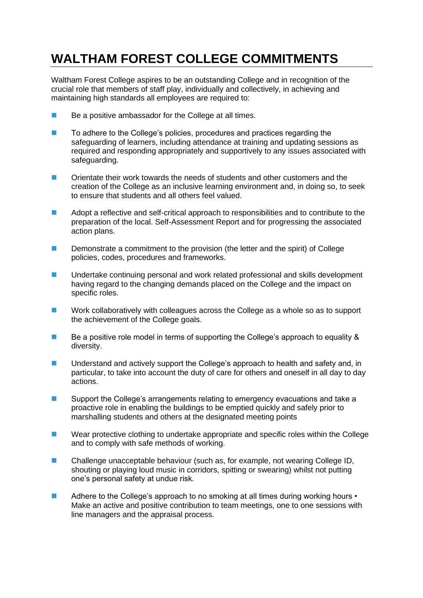### **WALTHAM FOREST COLLEGE COMMITMENTS**

Waltham Forest College aspires to be an outstanding College and in recognition of the crucial role that members of staff play, individually and collectively, in achieving and maintaining high standards all employees are required to:

- Be a positive ambassador for the College at all times.
- To adhere to the College's policies, procedures and practices regarding the safeguarding of learners, including attendance at training and updating sessions as required and responding appropriately and supportively to any issues associated with safeguarding.
- Orientate their work towards the needs of students and other customers and the creation of the College as an inclusive learning environment and, in doing so, to seek to ensure that students and all others feel valued.
- Adopt a reflective and self-critical approach to responsibilities and to contribute to the preparation of the local. Self-Assessment Report and for progressing the associated action plans.
- Demonstrate a commitment to the provision (the letter and the spirit) of College policies, codes, procedures and frameworks.
- Undertake continuing personal and work related professional and skills development having regard to the changing demands placed on the College and the impact on specific roles.
- Work collaboratively with colleagues across the College as a whole so as to support the achievement of the College goals.
- Be a positive role model in terms of supporting the College's approach to equality & diversity.
- Understand and actively support the College's approach to health and safety and, in particular, to take into account the duty of care for others and oneself in all day to day actions.
- Support the College's arrangements relating to emergency evacuations and take a proactive role in enabling the buildings to be emptied quickly and safely prior to marshalling students and others at the designated meeting points
- Wear protective clothing to undertake appropriate and specific roles within the College and to comply with safe methods of working.
- Challenge unacceptable behaviour (such as, for example, not wearing College ID, shouting or playing loud music in corridors, spitting or swearing) whilst not putting one's personal safety at undue risk.
- Adhere to the College's approach to no smoking at all times during working hours Make an active and positive contribution to team meetings, one to one sessions with line managers and the appraisal process.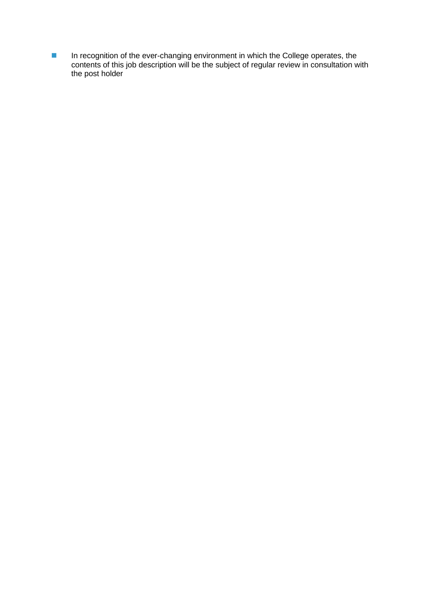■ In recognition of the ever-changing environment in which the College operates, the contents of this job description will be the subject of regular review in consultation with the post holder